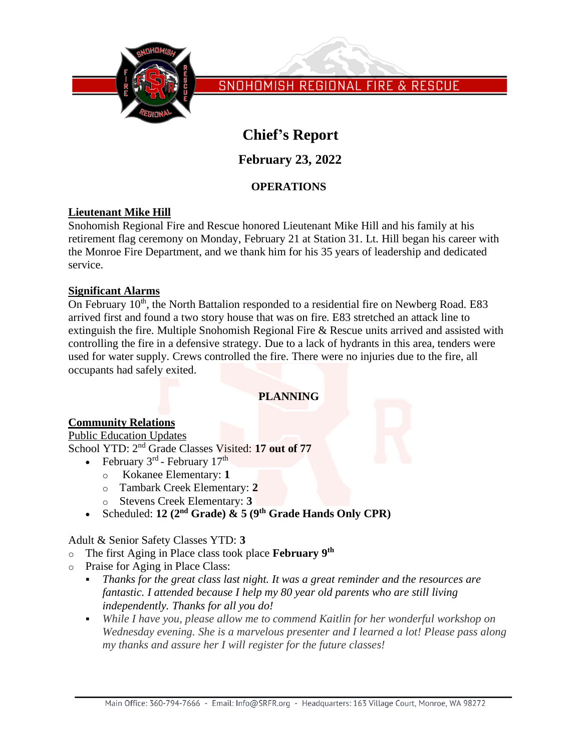

SNOHOMISH REGIONAL FIRE & RESCUE

# **Chief's Report**

**February 23, 2022**

## **OPERATIONS**

## **Lieutenant Mike Hill**

Snohomish Regional Fire and Rescue honored Lieutenant Mike Hill and his family at his retirement flag ceremony on Monday, February 21 at Station 31. Lt. Hill began his career with the Monroe Fire Department, and we thank him for his 35 years of leadership and dedicated service.

## **Significant Alarms**

On February  $10<sup>th</sup>$ , the North Battalion responded to a residential fire on Newberg Road. E83 arrived first and found a two story house that was on fire. E83 stretched an attack line to extinguish the fire. Multiple Snohomish Regional Fire & Rescue units arrived and assisted with controlling the fire in a defensive strategy. Due to a lack of hydrants in this area, tenders were used for water supply. Crews controlled the fire. There were no injuries due to the fire, all occupants had safely exited.

## **PLANNING**

## **Community Relations**

#### Public Education Updates

School YTD: 2<sup>nd</sup> Grade Classes Visited: 17 out of 77

- February  $3^{\text{rd}}$  February  $17^{\text{th}}$ 
	- o Kokanee Elementary: **1**
	- o Tambark Creek Elementary: **2**
	- o Stevens Creek Elementary: **3**
- Scheduled: **12 (2nd Grade) & 5 (9th Grade Hands Only CPR)**

Adult & Senior Safety Classes YTD: **3**

- o The first Aging in Place class took place **February 9th**
- o Praise for Aging in Place Class:
	- *Thanks for the great class last night. It was a great reminder and the resources are fantastic. I attended because I help my 80 year old parents who are still living independently. Thanks for all you do!*
	- *While I have you, please allow me to commend Kaitlin for her wonderful workshop on Wednesday evening. She is a marvelous presenter and I learned a lot! Please pass along my thanks and assure her I will register for the future classes!*